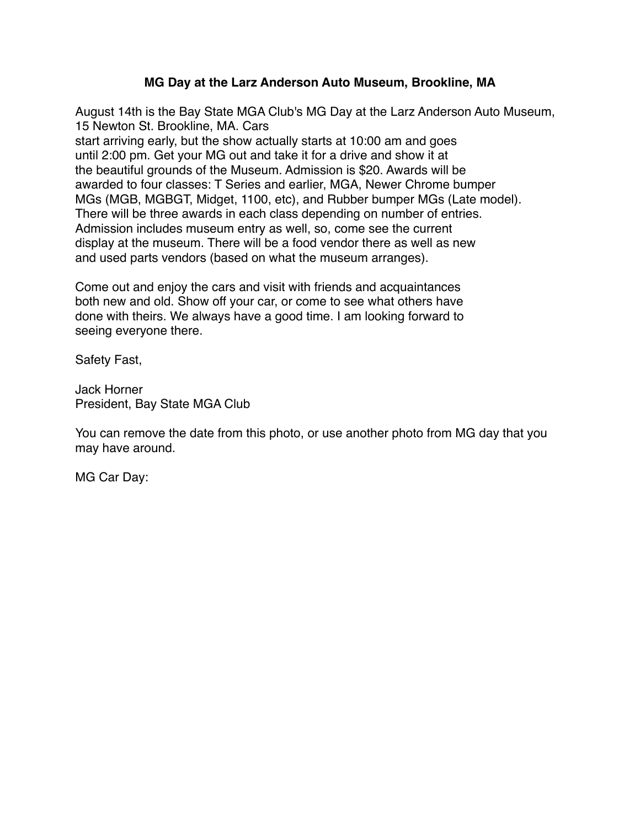## **MG Day at the Larz Anderson Auto Museum, Brookline, MA**

August 14th is the Bay State MGA Club's MG Day at the Larz Anderson Auto Museum, 15 Newton St. Brookline, MA. Cars

start arriving early, but the show actually starts at 10:00 am and goes until 2:00 pm. Get your MG out and take it for a drive and show it at the beautiful grounds of the Museum. Admission is \$20. Awards will be awarded to four classes: T Series and earlier, MGA, Newer Chrome bumper MGs (MGB, MGBGT, Midget, 1100, etc), and Rubber bumper MGs (Late model). There will be three awards in each class depending on number of entries. Admission includes museum entry as well, so, come see the current display at the museum. There will be a food vendor there as well as new and used parts vendors (based on what the museum arranges).

Come out and enjoy the cars and visit with friends and acquaintances both new and old. Show off your car, or come to see what others have done with theirs. We always have a good time. I am looking forward to seeing everyone there.

Safety Fast,

Jack Horner President, Bay State MGA Club

You can remove the date from this photo, or use another photo from MG day that you may have around.

MG Car Day: